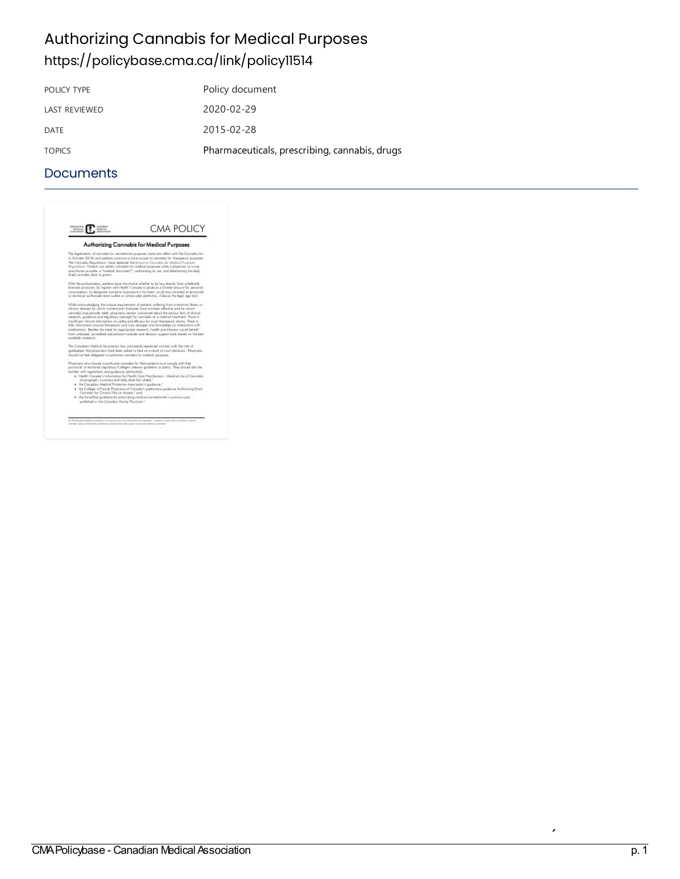# **Authorizing Cannabis for Medical Purposes** <https://policybase.cma.ca/link/policy11514>

| Policy document                               |
|-----------------------------------------------|
| 2020-02-29                                    |
| 2015-02-28                                    |
| Pharmaceuticals, prescribing, cannabis, drugs |
|                                               |

#### **Documents**



er and the Controlled Drugsands of the Controlled Drugsands of the Controlled Drugsands of the Controlled Drugsands<br>Act (Respectively) p. 1 (Particular Association p. 1 (Particular Drugsands of the Controlled Drugsands of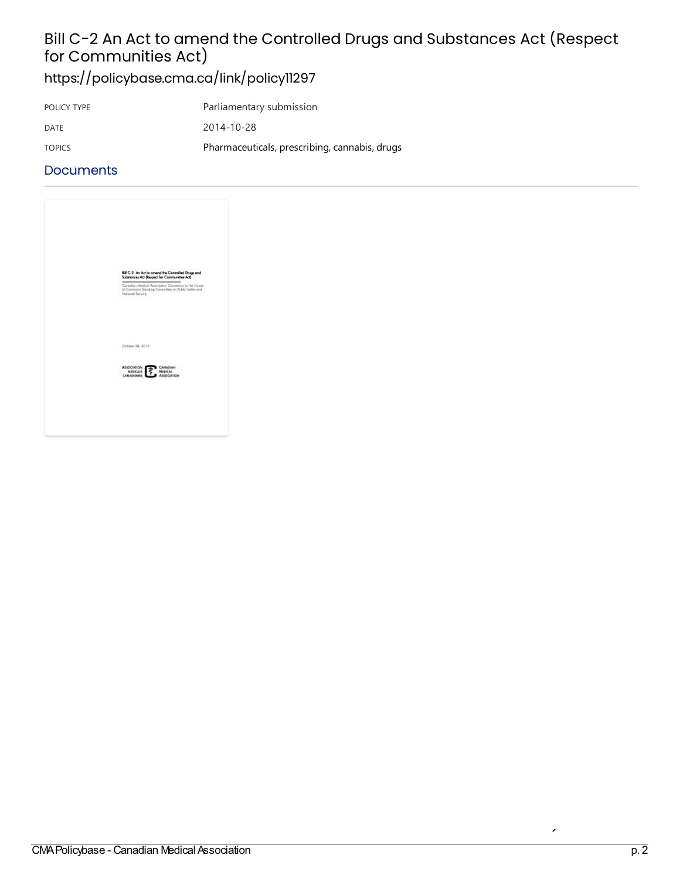# Bill C-2 An Act to amend the Controlled Drugs and Substances Act (Respect for Communities Act)

<https://policybase.cma.ca/link/policy11297>

| POLICY TYPE   | Parliamentary submission                      |
|---------------|-----------------------------------------------|
| DATE          | 2014-10-28                                    |
| <b>TOPICS</b> | Pharmaceuticals, prescribing, cannabis, drugs |

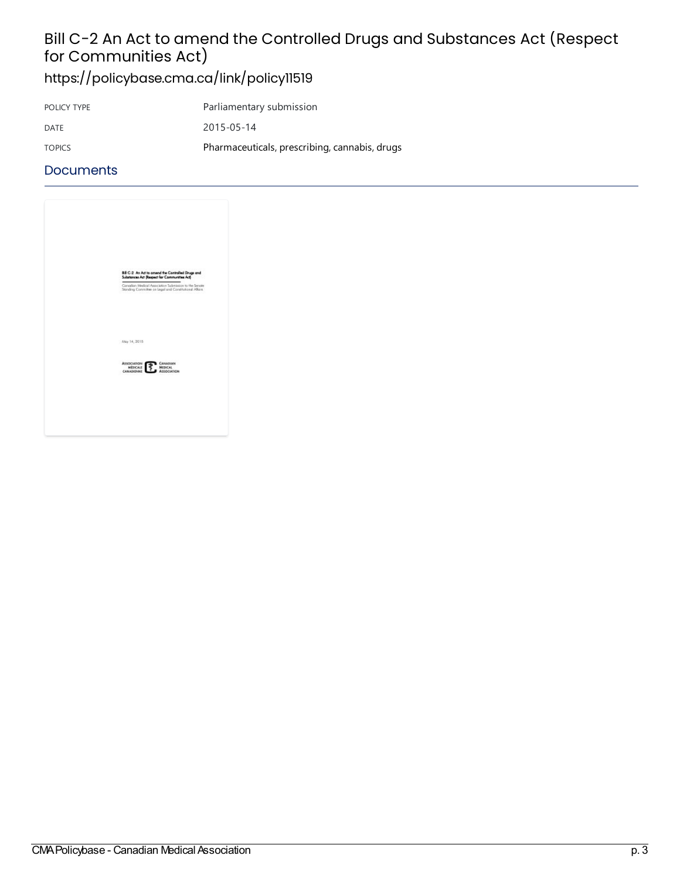# Bill C-2 An Act to amend the Controlled Drugs and Substances Act (Respect for Communities Act)

<https://policybase.cma.ca/link/policy11519>

| POLICY TYPE   | Parliamentary submission                      |
|---------------|-----------------------------------------------|
| DATE          | 2015-05-14                                    |
| <b>TOPICS</b> | Pharmaceuticals, prescribing, cannabis, drugs |

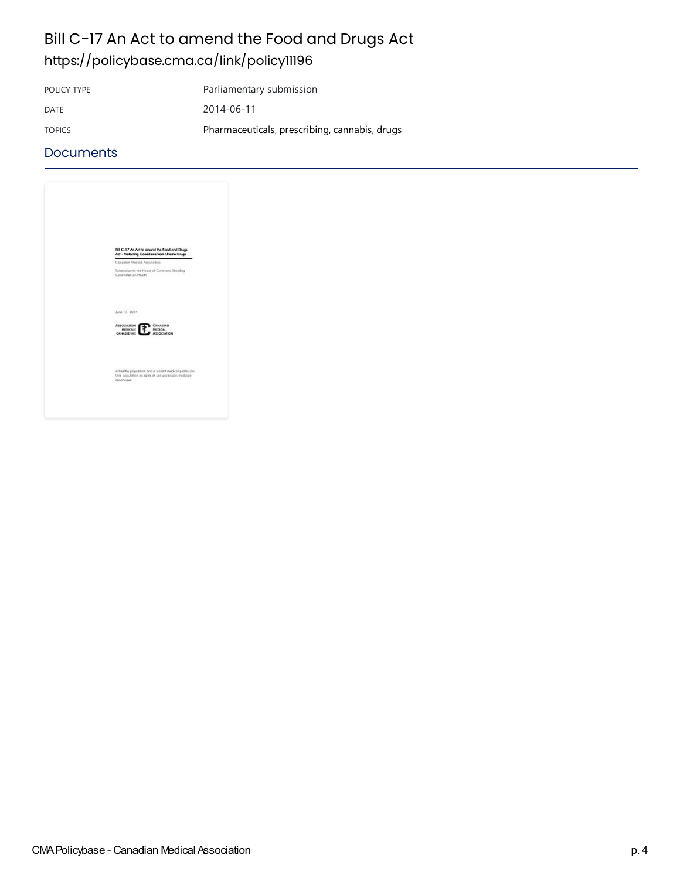# Bill C-17 An Act to amend the Food and Drugs Act <https://policybase.cma.ca/link/policy11196>

POLICY TYPE Parliamentary submission

DATE 2014-06-11

TOPICS Pharmaceuticals, prescribing, cannabis, drugs

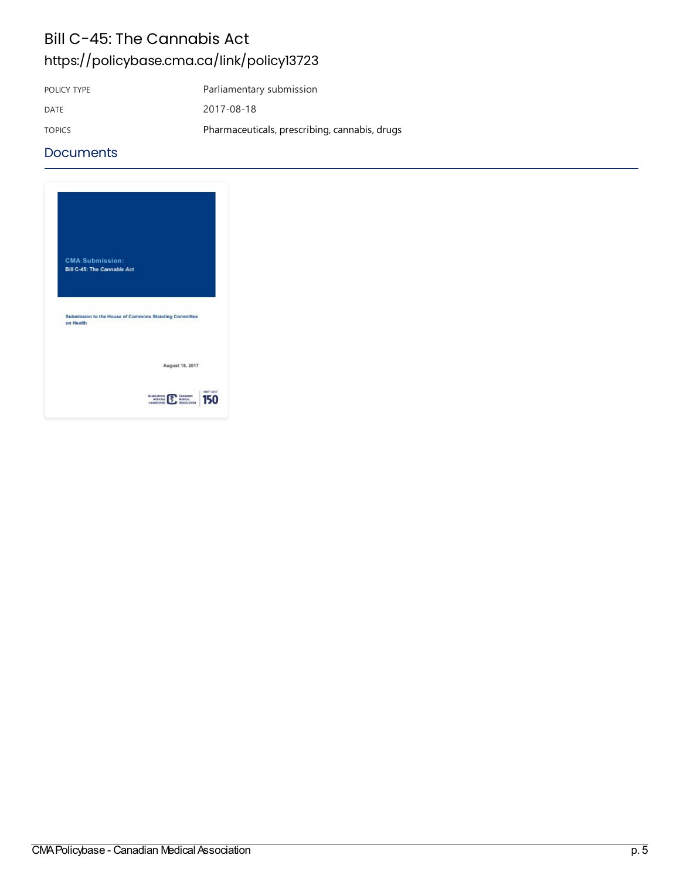# Bill C-45: The Cannabis Act <https://policybase.cma.ca/link/policy13723>

POLICY TYPE Parliamentary submission DATE 2017-08-18 TOPICS Pharmaceuticals, prescribing, cannabis, drugs

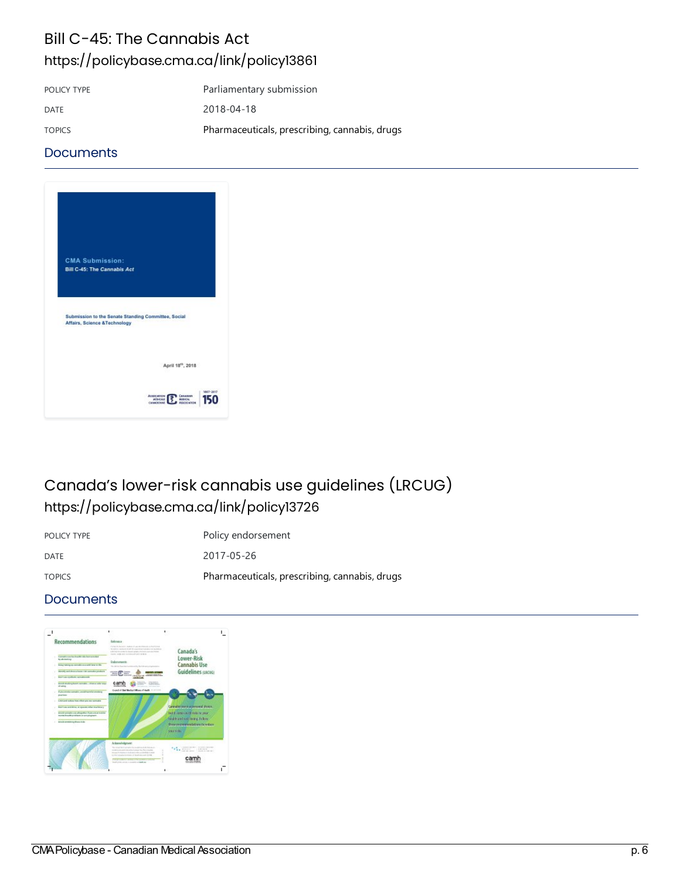# Bill C-45: The Cannabis Act <https://policybase.cma.ca/link/policy13861>

| POLICY TYPE   | Parliamentary submission                      |
|---------------|-----------------------------------------------|
| <b>DATE</b>   | 2018-04-18                                    |
| <b>TOPICS</b> | Pharmaceuticals, prescribing, cannabis, drugs |

#### **Documents**



# Canada's lower-risk cannabis use guidelines (LRCUG) <https://policybase.cma.ca/link/policy13726>

POLICY TYPE POLICY TYPE

DATE 2017-05-26 TOPICS Pharmaceuticals, [prescribing,cannabis,](https://policybase.cma.ca/list?q=topic%253A%2522Pharmaceuticals,%20prescribing,%20cannabis,%20drugs%2522&p=1&ps=&sort=title_sort%20asc) drugs

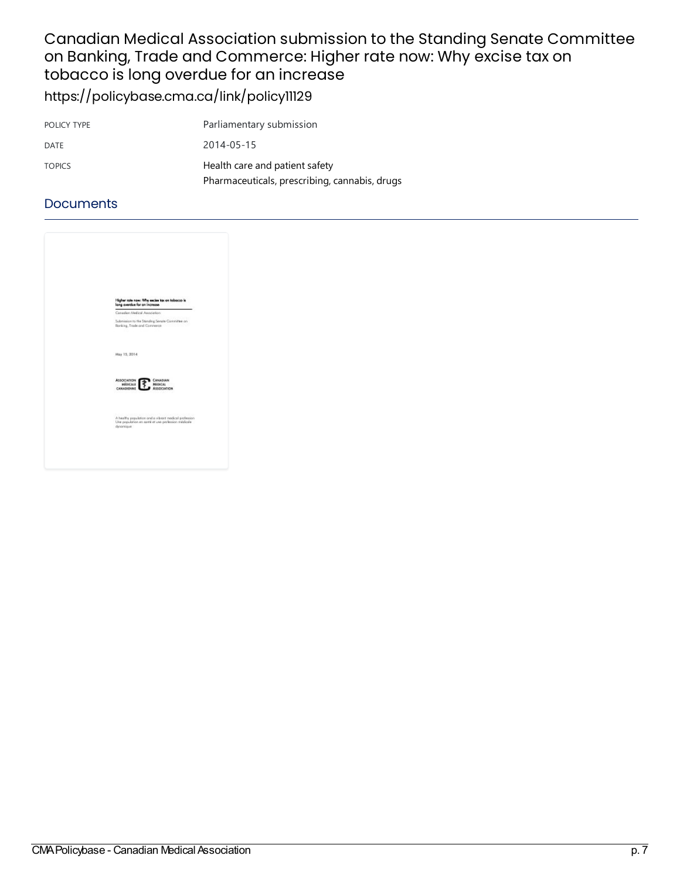### Canadian Medical Association submission to the Standing Senate Committee on Banking, Trade and Commerce: Higher rate now: Why excise tax on tobacco is long overdue for an increase <https://policybase.cma.ca/link/policy11129>

| POLICY TYPE   | Parliamentary submission                      |
|---------------|-----------------------------------------------|
| DATE          | 2014-05-15                                    |
| <b>TOPICS</b> | Health care and patient safety                |
|               | Pharmaceuticals, prescribing, cannabis, drugs |

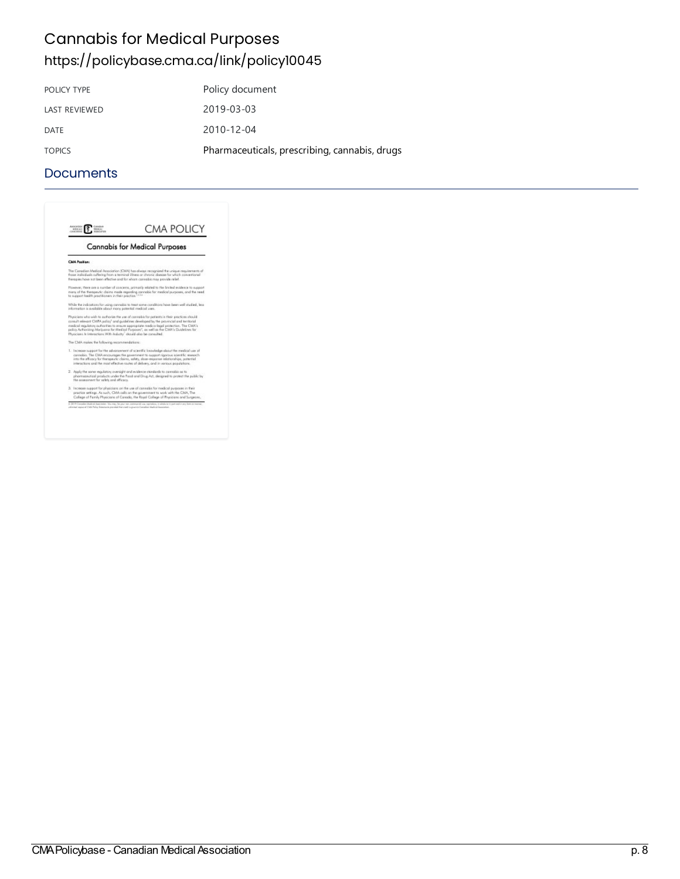# **Cannabis for Medical Purposes** <https://policybase.cma.ca/link/policy10045>

| Policy document                               |
|-----------------------------------------------|
| 2019-03-03                                    |
| 2010-12-04                                    |
| Pharmaceuticals, prescribing, cannabis, drugs |
|                                               |

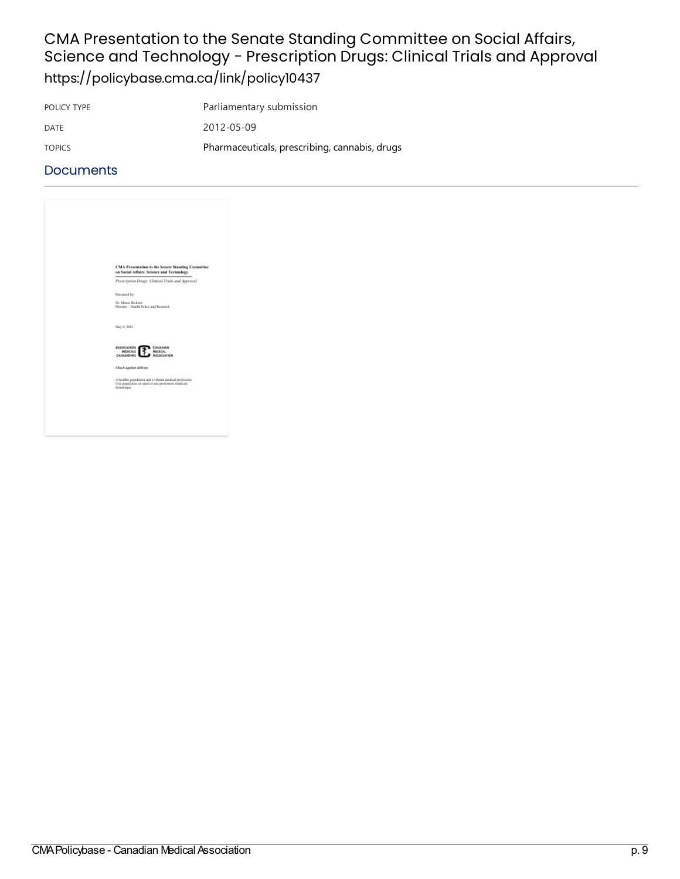## CMA Presentation to the Senate Standing Committee on Social Affairs, Science and Technology - Prescription Drugs: Clinical Trials and Approval <https://policybase.cma.ca/link/policy10437>

POLICY TYPE Parliamentary submission DATE 2012-05-09 TOPICS Pharmaceuticals, [prescribing,cannabis,](https://policybase.cma.ca/list?q=topic%253A%2522Pharmaceuticals,%20prescribing,%20cannabis,%20drugs%2522&p=1&ps=&sort=title_sort%20asc) drugs

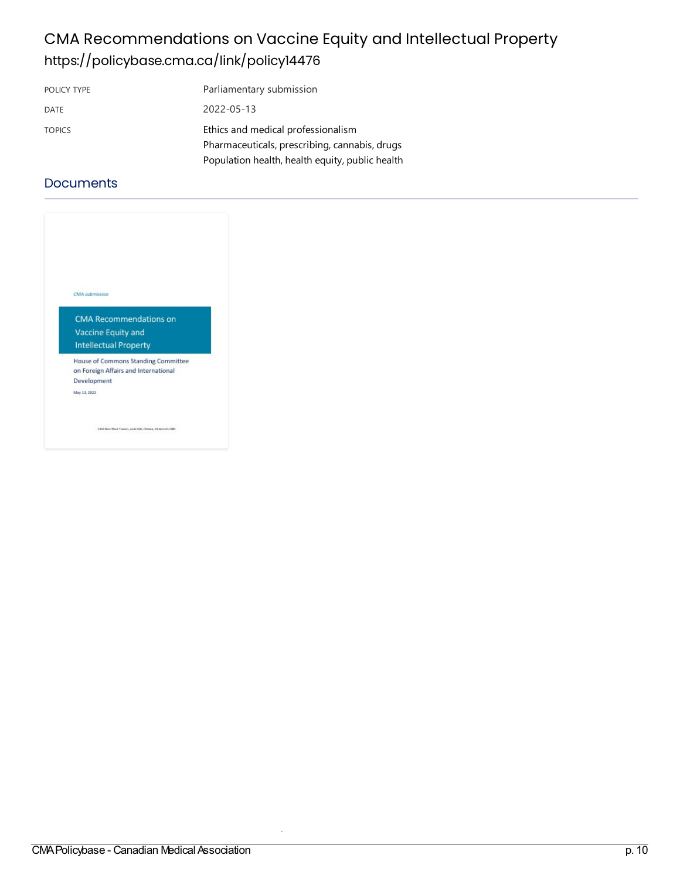# CMA Recommendations on Vaccine Equity and Intellectual Property <https://policybase.cma.ca/link/policy14476>

| POLICY TYPE   | Parliamentary submission                        |
|---------------|-------------------------------------------------|
| DATE          | 2022-05-13                                      |
| <b>TOPICS</b> | Ethics and medical professionalism              |
|               | Pharmaceuticals, prescribing, cannabis, drugs   |
|               | Population health, health equity, public health |

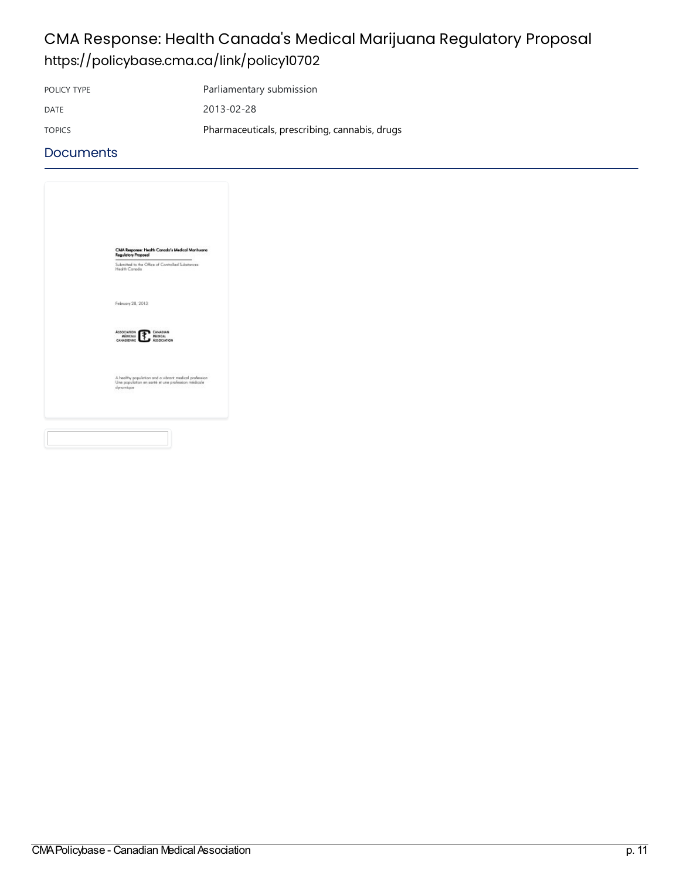# CMA Response: Health Canada's Medical Marijuana Regulatory Proposal <https://policybase.cma.ca/link/policy10702>

POLICY TYPE Parliamentary submission

DATE 2013-02-28

TOPICS Pharmaceuticals, prescribing, cannabis, drugs

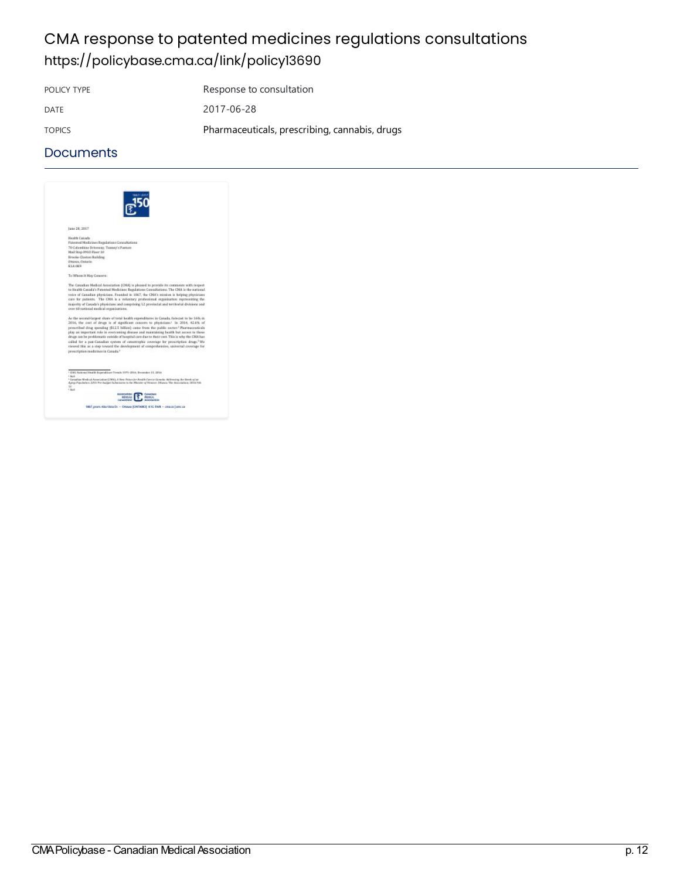# CMA response to patented medicines regulations consultations <https://policybase.cma.ca/link/policy13690>

POLICY TYPE Response to consultation DATE 2017-06-28 TOPICS Pharmaceuticals, prescribing, cannabis, drugs

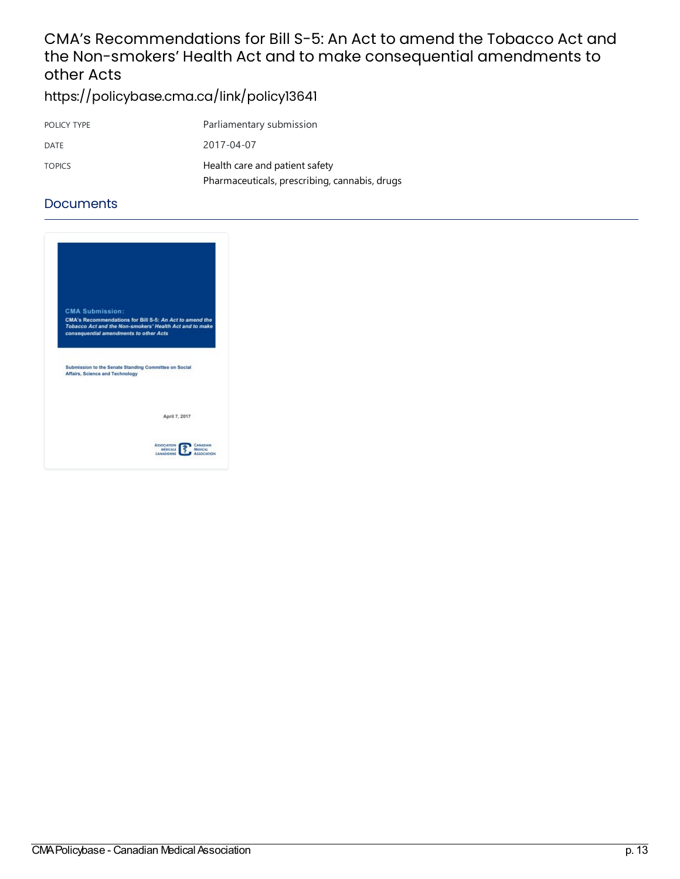### CMA's Recommendations for Bill S-5: An Act to amend the Tobacco Act and the Non-smokers' Health Act and to make consequential amendments to other Acts

<https://policybase.cma.ca/link/policy13641>

| POLICY TYPE   | Parliamentary submission                      |
|---------------|-----------------------------------------------|
| DATE          | 2017-04-07                                    |
| <b>TOPICS</b> | Health care and patient safety                |
|               | Pharmaceuticals, prescribing, cannabis, drugs |

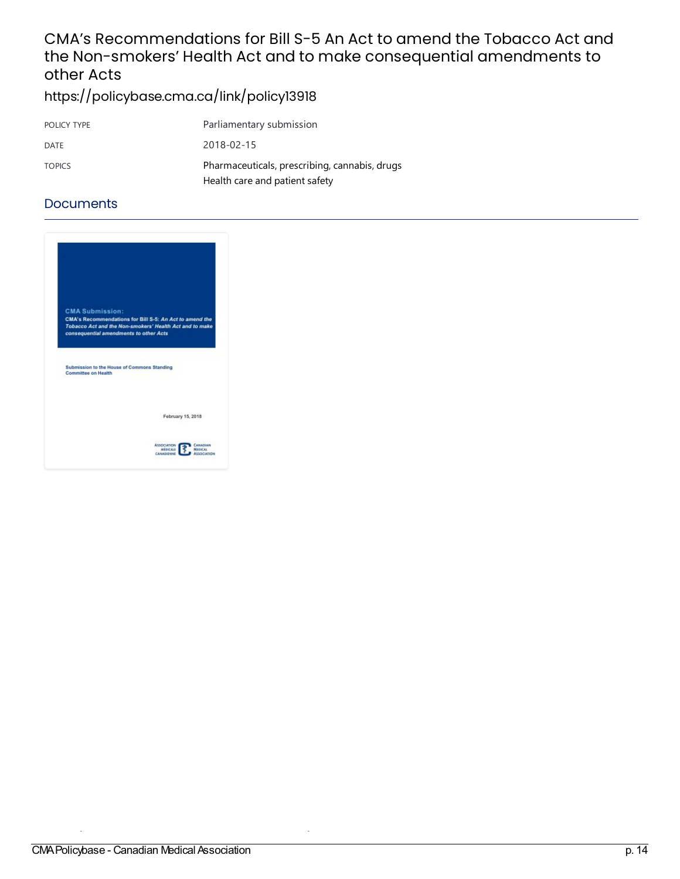### CMA's Recommendations for Bill S-5 An Act to amend the Tobacco Act and the Non-smokers' Health Act and to make consequential amendments to other Acts

<https://policybase.cma.ca/link/policy13918>

| POLICY TYPE   | Parliamentary submission                      |
|---------------|-----------------------------------------------|
| DATE          | 2018-02-15                                    |
| <b>TOPICS</b> | Pharmaceuticals, prescribing, cannabis, drugs |
|               | Health care and patient safety                |

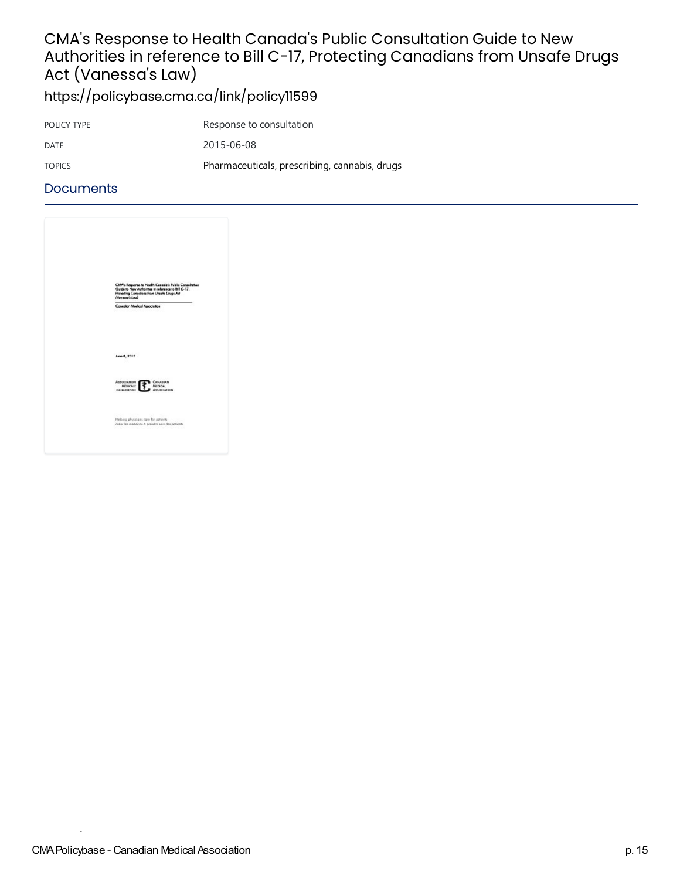# CMA's Response to Health Canada's Public Consultation Guide to New Authorities in reference to Bill C-17, Protecting Canadians from Unsafe Drugs Act (Vanessa's Law)

<https://policybase.cma.ca/link/policy11599>

| POLICY TYPE   | Response to consultation                      |
|---------------|-----------------------------------------------|
| DATE          | 2015-06-08                                    |
| <b>TOPICS</b> | Pharmaceuticals, prescribing, cannabis, drugs |

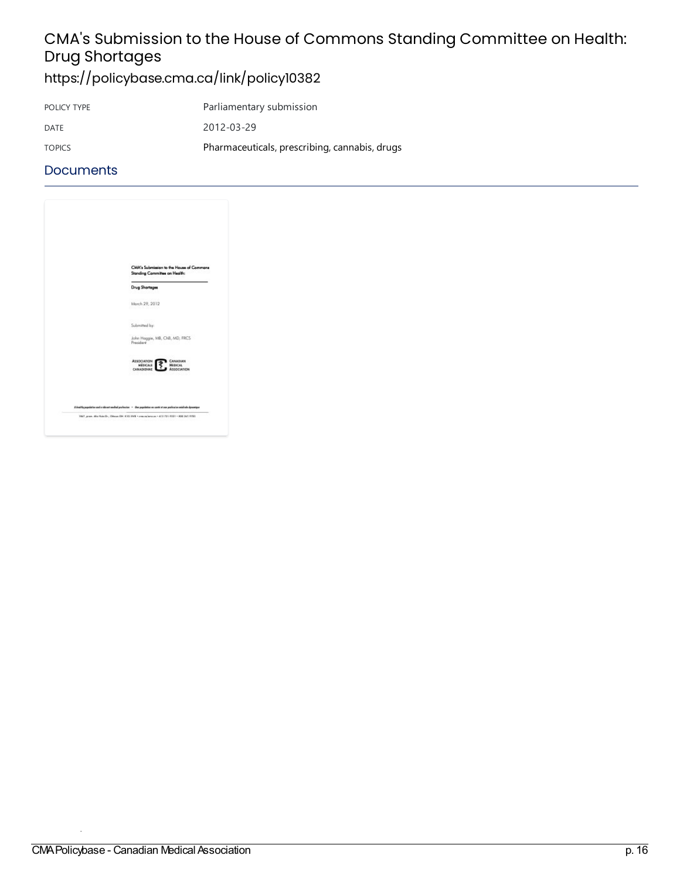# CMA's Submission to the House of Commons Standing Committee on Health: Drug Shortages

<https://policybase.cma.ca/link/policy10382>

| POLICY TYPE   | Parliamentary submission                      |
|---------------|-----------------------------------------------|
| DATE          | 2012-03-29                                    |
| <b>TOPICS</b> | Pharmaceuticals, prescribing, cannabis, drugs |

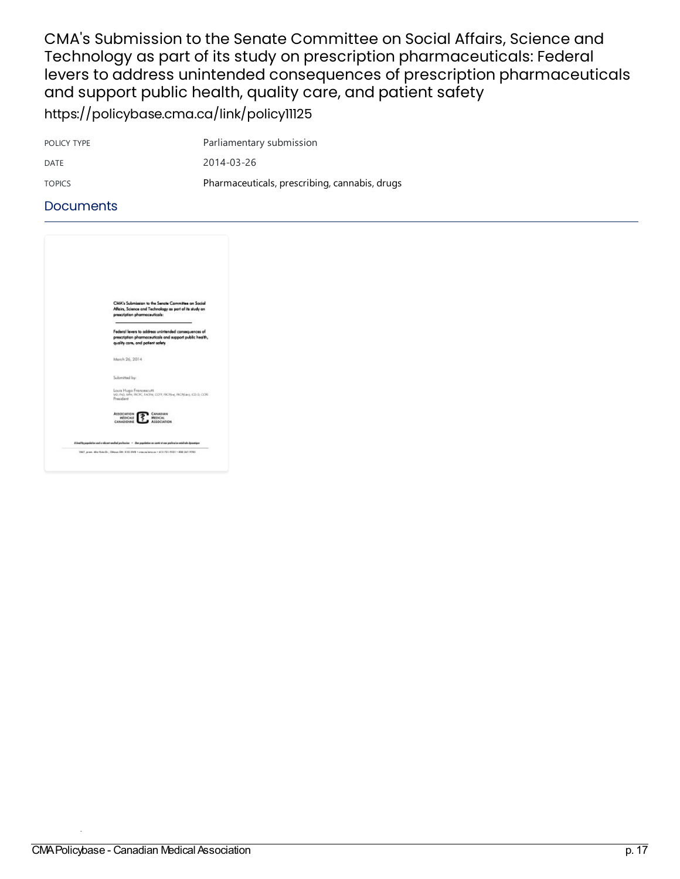CMA's Submission to the Senate Committee on Social Affairs, Science and Technology as part of its study on prescription pharmaceuticals: Federal levers to address unintended consequences of prescription pharmaceuticals and support public health, quality care, and patient safety

<https://policybase.cma.ca/link/policy11125>

| POLICY TYPE   | Parliamentary submission                      |
|---------------|-----------------------------------------------|
| DATE          | 2014-03-26                                    |
| <b>TOPICS</b> | Pharmaceuticals, prescribing, cannabis, drugs |

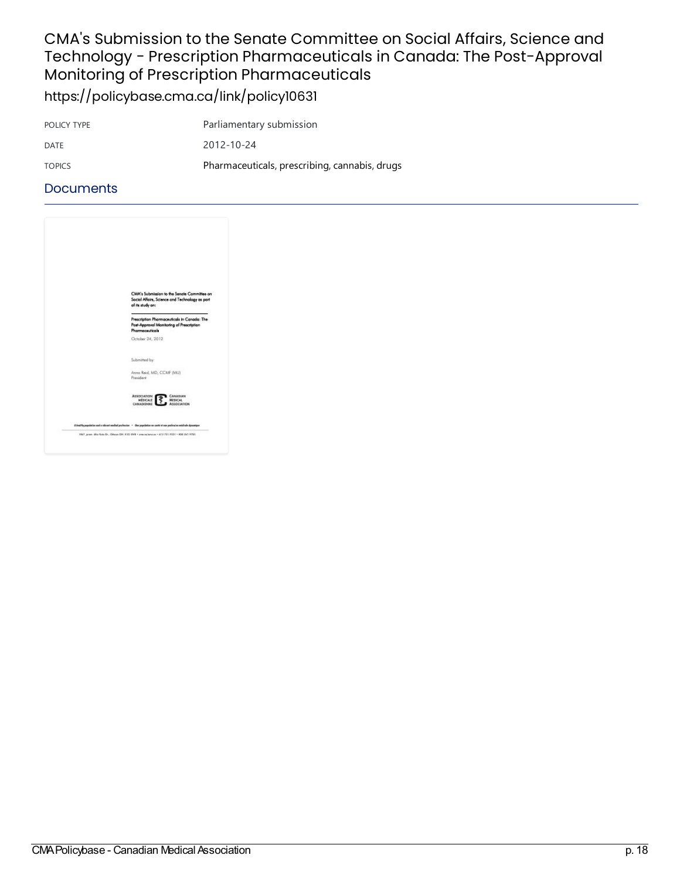### CMA's Submission to the Senate Committee on Social Affairs, Science and Technology - Prescription Pharmaceuticals in Canada: The Post-Approval Monitoring of Prescription Pharmaceuticals <https://policybase.cma.ca/link/policy10631>

POLICY TYPE Parliamentary submission DATE 2012-10-24 TOPICS Pharmaceuticals, [prescribing,cannabis,](https://policybase.cma.ca/list?q=topic%253A%2522Pharmaceuticals,%20prescribing,%20cannabis,%20drugs%2522&p=1&ps=&sort=title_sort%20asc) drugs